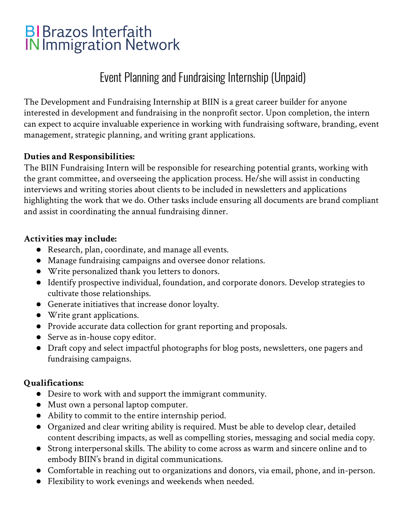# **BIBrazos Interfaith IN Immigration Network**

## Event Planning and Fundraising Internship (Unpaid)

The Development and Fundraising Internship at BIIN is a great career builder for anyone interested in development and fundraising in the nonprofit sector. Upon completion, the intern can expect to acquire invaluable experience in working with fundraising software, branding, event management, strategic planning, and writing grant applications.

#### **Duties and Responsibilities:**

The BIIN Fundraising Intern will be responsible for researching potential grants, working with the grant committee, and overseeing the application process. He/she will assist in conducting interviews and writing stories about clients to be included in newsletters and applications highlighting the work that we do. Other tasks include ensuring all documents are brand compliant and assist in coordinating the annual fundraising dinner.

#### **Activities may include:**

- Research, plan, coordinate, and manage all events.
- Manage fundraising campaigns and oversee donor relations.
- Write personalized thank you letters to donors.
- Identify prospective individual, foundation, and corporate donors. Develop strategies to cultivate those relationships.
- Generate initiatives that increase donor loyalty.
- Write grant applications.
- Provide accurate data collection for grant reporting and proposals.
- Serve as in-house copy editor.
- Draft copy and select impactful photographs for blog posts, newsletters, one pagers and fundraising campaigns.

## **Qualifications:**

- Desire to work with and support the immigrant community.
- Must own a personal laptop computer.
- Ability to commit to the entire internship period.
- Organized and clear writing ability is required. Must be able to develop clear, detailed content describing impacts, as well as compelling stories, messaging and social media copy.
- Strong interpersonal skills. The ability to come across as warm and sincere online and to embody BIIN's brand in digital communications.
- Comfortable in reaching out to organizations and donors, via email, phone, and in-person.
- Flexibility to work evenings and weekends when needed.